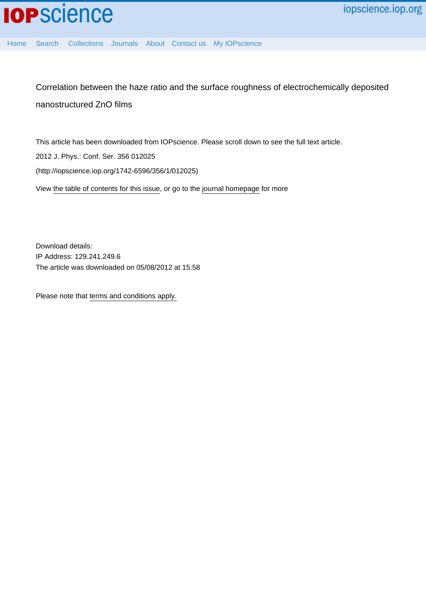

[Home](http://iopscience.iop.org/) [Search](http://iopscience.iop.org/search) [Collections](http://iopscience.iop.org/collections) [Journals](http://iopscience.iop.org/journals) [About](http://iopscience.iop.org/page/aboutioppublishing) [Contact us](http://iopscience.iop.org/contact) [My IOPscience](http://iopscience.iop.org/myiopscience)

Correlation between the haze ratio and the surface roughness of electrochemically deposited nanostructured ZnO films

This article has been downloaded from IOPscience. Please scroll down to see the full text article. 2012 J. Phys.: Conf. Ser. 356 012025 (http://iopscience.iop.org/1742-6596/356/1/012025) View [the table of contents for this issue](http://iopscience.iop.org/1742-6596/356/1), or go to the [journal homepage](http://iopscience.iop.org/1742-6596) for more

Download details: IP Address: 129.241.249.6 The article was downloaded on 05/08/2012 at 15:58

Please note that [terms and conditions apply.](http://iopscience.iop.org/page/terms)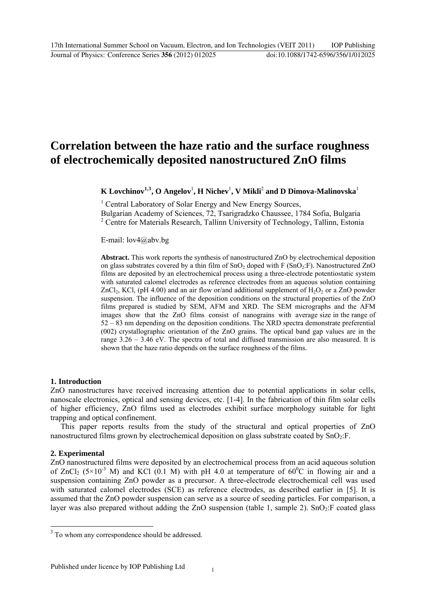# **Correlation between the haze ratio and the surface roughness of electrochemically deposited nanostructured ZnO films**

 $\mathbf K$  Lovchinov $^{1,3}, \mathbf O$  $^{1,3}, \mathbf O$  $^{1,3}, \mathbf O$  Angelov $^{1}, \mathbf H$  Nichev $^{1}, \mathbf V$  Mikli $^{2}$  and  $\mathbf D$  Dimova-Malinovska $^{1}$ 

<sup>1</sup> Central Laboratory of Solar Energy and New Energy Sources,

Bulgarian Academy of Sciences, 72, Tsarigradzko Chaussee, 1784 Sofia, Bulgaria <sup>2</sup> Centre for Materials Research, Tallinn University of Technology, Tallinn, Estonia

E-mail: lov4@abv.bg

**Abstract.** This work reports the synthesis of nanostructured ZnO by electrochemical deposition on glass substrates covered by a thin film of  $SnO<sub>2</sub>$  doped with F ( $SnO<sub>2</sub>:F$ ). Nanostructured ZnO films are deposited by an electrochemical process using a three-electrode potentiostatic system with saturated calomel electrodes as reference electrodes from an aqueous solution containing ZnCl<sub>2</sub>, KCl, (pH 4.00) and an air flow or/and additional supplement of  $H_2O_2$  or a ZnO powder suspension. The influence of the deposition conditions on the structural properties of the ZnO films prepared is studied by SEM, AFM and XRD. The SEM micrographs and the AFM images show that the ZnO films consist of nanograins with average size in the range of 52 – 83 nm depending on the deposition conditions. The XRD spectra demonstrate preferential (002) crystallographic orientation of the ZnO grains. The optical band gap values are in the range  $3.26 - 3.46$  eV. The spectra of total and diffused transmission are also measured. It is shown that the haze ratio depends on the surface roughness of the films.

# **1. Introduction**

ZnO nanostructures have received increasing attention due to potential applications in solar cells, nanoscale electronics, optical and sensing devices, etc. [1-4]. In the fabrication of thin film solar cells of higher efficiency, ZnO films used as electrodes exhibit surface morphology suitable for light trapping and optical confinement.

This paper reports results from the study of the structural and optical properties of ZnO nanostructured films grown by electrochemical deposition on glass substrate coated by  $SnO<sub>2</sub>:F.$ 

# **2. Experimental**

1

ZnO nanostructured films were deposited by an electrochemical process from an acid aqueous solution of ZnCl<sub>2</sub> (5×10<sup>-3</sup> M) and KCl (0.1 M) with pH 4.0 at temperature of 60<sup>o</sup>C in flowing air and a suspension containing ZnO powder as a precursor. A three-electrode electrochemical cell was used with saturated calomel electrodes (SCE) as reference electrodes, as described earlier in [5]. It is assumed that the ZnO powder suspension can serve as a source of seeding particles. For comparison, a layer was also prepared without adding the ZnO suspension (table 1, sample 2).  $SnO<sub>2</sub>:F$  coated glass

<span id="page-1-0"></span><sup>&</sup>lt;sup>3</sup> To whom any correspondence should be addressed.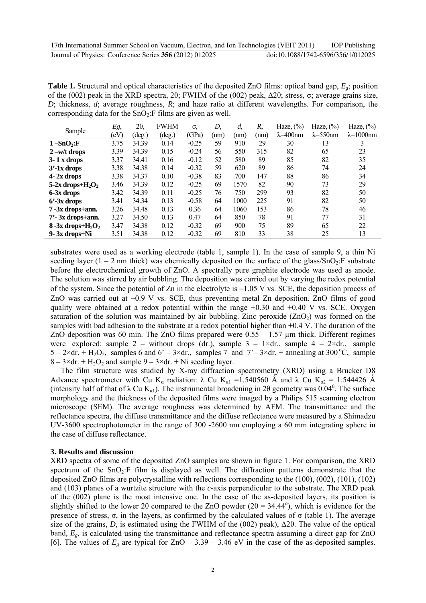**Table 1.** Structural and optical characteristics of the deposited ZnO films: optical band gap, *Eg*; position of the (002) peak in the XRD spectra, 2θ; FWHM of the (002) peak, Δ2θ; stress, σ; average grains size, *D*; thickness, *d*; average roughness, *R*; and haze ratio at different wavelengths. For comparison, the corresponding data for the  $SnO<sub>2</sub>:F$  films are given as well.

| Sample                                       | Eg,  | 20,             | <b>FWHM</b>     | $\sigma$ | D,   | $d$ . | R,   | Haze, $(\%)$       | Haze, $(\%)$       | Haze, $(\%)$        |
|----------------------------------------------|------|-----------------|-----------------|----------|------|-------|------|--------------------|--------------------|---------------------|
|                                              | (eV) | $(\text{deg.})$ | $(\text{deg.})$ | (GPa)    | (nm) | (nm)  | (nm) | $\lambda = 400$ nm | $\lambda = 550$ nm | $\lambda = 1000$ nm |
| $1 - SnO2:F$                                 | 3.75 | 34.39           | 0.14            | $-0.25$  | 59   | 910   | 29   | 30                 | 13                 | 3                   |
| $2 - w/t$ drops                              | 3.39 | 34.39           | 0.15            | $-0.24$  | 56   | 550   | 315  | 82                 | 65                 | 23                  |
| $3 - 1x$ drops                               | 3.37 | 34.41           | 0.16            | $-0.12$  | 52   | 580   | 89   | 85                 | 82                 | 35                  |
| $3'-1x$ drops                                | 3.38 | 34.38           | 0.14            | $-0.32$  | 59   | 620   | 89   | 86                 | 74                 | 24                  |
| $4 - 2x$ drops                               | 3.38 | 34.37           | 0.10            | $-0.38$  | 83   | 700   | 147  | 88                 | 86                 | 34                  |
| 5-2x drops+ $H_2O_2$                         | 3.46 | 34.39           | 0.12            | $-0.25$  | 69   | 1570  | 82   | 90                 | 73                 | 29                  |
| 6-3x drops                                   | 3.42 | 34.39           | 0.11            | $-0.25$  | 76   | 750   | 299  | 93                 | 82                 | 50                  |
| $6'$ -3x drops                               | 3.41 | 34.34           | 0.13            | $-0.58$  | 64   | 1000  | 225  | 91                 | 82                 | 50                  |
| 7-3x drops+ann.                              | 3.26 | 34.48           | 0.13            | 0.36     | 64   | 1060  | 153  | 86                 | 78                 | 46                  |
| $7'$ - 3x drops+ann.                         | 3.27 | 34.50           | 0.13            | 0.47     | 64   | 850   | 78   | 91                 | 77                 | 31                  |
| $8 - 3x$ drops+H <sub>2</sub> O <sub>2</sub> | 3.47 | 34.38           | 0.12            | $-0.32$  | 69   | 900   | 75   | 89                 | 65                 | 22                  |
| 9-3x drops+Ni                                | 3.51 | 34.38           | 0.12            | $-0.32$  | 69   | 810   | 33   | 38                 | 25                 | 13                  |

substrates were used as a working electrode (table 1, sample 1). In the case of sample 9, a thin Ni seeding layer (1 – 2 nm thick) was chemically deposited on the surface of the glass/SnO<sub>2</sub>:F substrate before the electrochemical growth of ZnO. A spectrally pure graphite electrode was used as anode. The solution was stirred by air bubbling. The deposition was carried out by varying the redox potential of the system. Since the potential of Zn in the electrolyte is  $-1.05$  V vs. SCE, the deposition process of ZnO was carried out at  $-0.9$  V vs. SCE, thus preventing metal Zn deposition. ZnO films of good quality were obtained at a redox potential within the range  $+0.30$  and  $+0.40$  V vs. SCE. Oxygen saturation of the solution was maintained by air bubbling. Zinc peroxide  $(ZnO<sub>2</sub>)$  was formed on the samples with bad adhesion to the substrate at a redox potential higher than  $+0.4$  V. The duration of the ZnO deposition was 60 min. The ZnO films prepared were  $0.55 - 1.57$  µm thick. Different regimes were explored: sample 2 – without drops (dr.), sample 3 –  $1 \times dr$ , sample 4 –  $2 \times dr$ , sample  $5 - 2 \times dr$ . + H<sub>2</sub>O<sub>2</sub>, samples 6 and 6' – 3×dr., samples 7 and 7'–3×dr. + annealing at 300 °C, sample  $8 - 3 \times dr$ . + H<sub>2</sub>O<sub>2</sub> and sample 9 – 3×dr. + Ni seeding layer.

The film structure was studied by X-ray diffraction spectrometry (XRD) using a Brucker D8 Advance spectrometer with Cu K<sub>α</sub> radiation:  $\lambda$  Cu K<sub>α1</sub> = 1.540560 Å and  $\lambda$  Cu K<sub>α2</sub> = 1.544426 Å (intensity half of that of  $\lambda$  Cu K<sub>a1</sub>). The instrumental broadening in 20 geometry was 0.04<sup>0</sup>. The surface morphology and the thickness of the deposited films were imaged by a Philips 515 scanning electron microscope (SEM). The average roughness was determined by AFM. The transmittance and the reflectance spectra, the diffuse transmittance and the diffuse reflectance were measured by a Shimadzu UV-3600 spectrophotometer in the range of 300 -2600 nm employing a 60 mm integrating sphere in the case of diffuse reflectance.

## **3. Results and discussion**

XRD spectra of some of the deposited ZnO samples are shown in figure 1. For comparison, the XRD spectrum of the  $SnO<sub>2</sub>:$  film is displayed as well. The diffraction patterns demonstrate that the deposited ZnO films are polycrystalline with reflections corresponding to the (100), (002), (101), (102) and (103) planes of a wurtzite structure with the *c*-axis perpendicular to the substrate. The XRD peak of the (002) plane is the most intensive one. In the case of the as-deposited layers, its position is slightly shifted to the lower 2 $\theta$  compared to the ZnO powder (2 $\theta$  = 34.44°), which is evidence for the presence of stress, σ, in the layers, as confirmed by the calculated values of σ (table 1). The average size of the grains, *D*, is estimated using the FWHM of the (002) peak),  $\Delta 2\theta$ . The value of the optical band, *Eg*, is calculated using the transmittance and reflectance spectra assuming a direct gap for ZnO [6]. The values of  $E<sub>g</sub>$  are typical for  $ZnO - 3.39 - 3.46$  eV in the case of the as-deposited samples.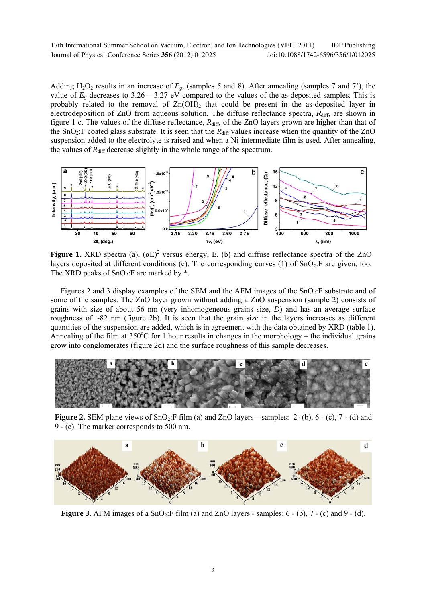Adding  $H_2O_2$  results in an increase of  $E_g$ , (samples 5 and 8). After annealing (samples 7 and 7'), the value of  $E_g$  decreases to 3.26 – 3.27 eV compared to the values of the as-deposited samples. This is probably related to the removal of  $Zn(OH)_2$  that could be present in the as-deposited layer in electrodeposition of ZnO from aqueous solution. The diffuse reflectance spectra,  $R_{\text{diff}}$ , are shown in figure 1 c. The values of the diffuse reflectance,  $R_{\text{diff}}$ , of the ZnO layers grown are higher than that of the SnO<sub>2</sub>:F coated glass substrate. It is seen that the  $R_{diff}$  values increase when the quantity of the ZnO suspension added to the electrolyte is raised and when a Ni intermediate film is used. After annealing, the values of  $R_{\text{diff}}$  decrease slightly in the whole range of the spectrum.



**Figure 1.** XRD spectra (a),  $(\alpha E)^2$  versus energy, E, (b) and diffuse reflectance spectra of the ZnO layers deposited at different conditions (c). The corresponding curves (1) of  $SnO<sub>2</sub>:$  F are given, too. The XRD peaks of  $SnO<sub>2</sub>:$ F are marked by  $*$ .

Figures 2 and 3 display examples of the SEM and the AFM images of the  $SnO<sub>2</sub>:F$  substrate and of some of the samples. The ZnO layer grown without adding a ZnO suspension (sample 2) consists of grains with size of about 56 nm (very inhomogeneous grains size, *D*) and has an average surface roughness of ~82 nm (figure 2b). It is seen that the grain size in the layers increases as different quantities of the suspension are added, which is in agreement with the data obtained by XRD (table 1). Annealing of the film at  $350^{\circ}$ C for 1 hour results in changes in the morphology – the individual grains grow into conglomerates (figure 2d) and the surface roughness of this sample decreases.



**Figure 2.** SEM plane views of  $SnO<sub>2</sub>:F film (a) and ZnO layers – samples: 2-(b), 6-(c), 7-(d) and$ 9 - (e). The marker corresponds to 500 nm.



**Figure 3.** AFM images of a  $SnO<sub>2</sub>:F film (a)$  and  $ZnO$  layers - samples:  $6 - (b)$ ,  $7 - (c)$  and  $9 - (d)$ .